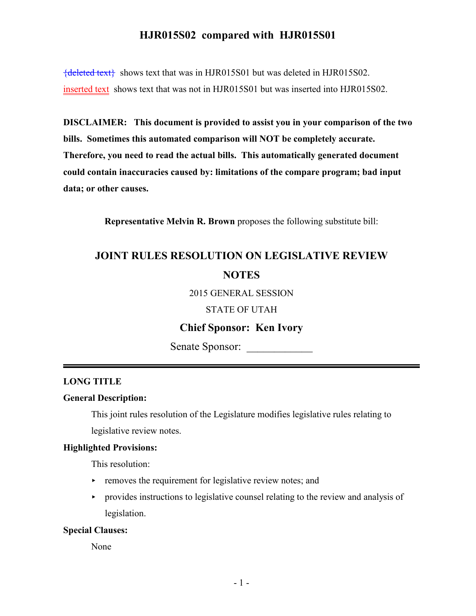# **HJR015S02 compared with HJR015S01**

{deleted text} shows text that was in HJR015S01 but was deleted in HJR015S02. inserted text shows text that was not in HJR015S01 but was inserted into HJR015S02.

**DISCLAIMER: This document is provided to assist you in your comparison of the two bills. Sometimes this automated comparison will NOT be completely accurate. Therefore, you need to read the actual bills. This automatically generated document could contain inaccuracies caused by: limitations of the compare program; bad input data; or other causes.**

**Representative Melvin R. Brown** proposes the following substitute bill:

# **JOINT RULES RESOLUTION ON LEGISLATIVE REVIEW NOTES**

2015 GENERAL SESSION

STATE OF UTAH

## **Chief Sponsor: Ken Ivory**

Senate Sponsor: \_\_\_\_\_\_\_\_\_\_\_\_

## **LONG TITLE**

## **General Description:**

This joint rules resolution of the Legislature modifies legislative rules relating to legislative review notes.

#### **Highlighted Provisions:**

This resolution:

- $\triangleright$  removes the requirement for legislative review notes; and
- $\rightarrow$  provides instructions to legislative counsel relating to the review and analysis of legislation.

#### **Special Clauses:**

None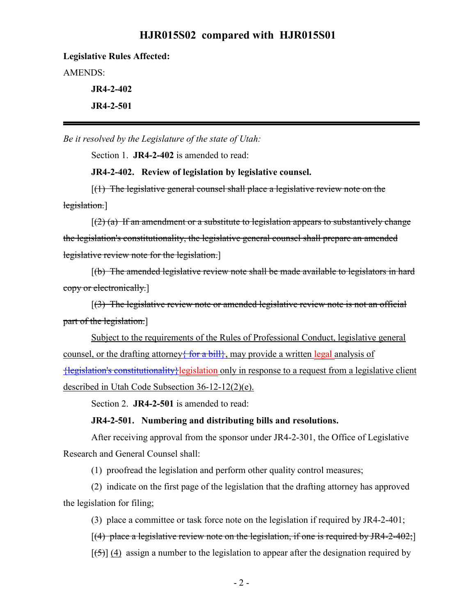## **HJR015S02 compared with HJR015S01**

#### **Legislative Rules Affected:**

AMENDS:

**JR4-2-402 JR4-2-501**

*Be it resolved by the Legislature of the state of Utah:*

Section 1. **JR4-2-402** is amended to read:

**JR4-2-402. Review of legislation by legislative counsel.**

[(1) The legislative general counsel shall place a legislative review note on the legislation.]

 $[(2)$  (a) If an amendment or a substitute to legislation appears to substantively change the legislation's constitutionality, the legislative general counsel shall prepare an amended legislative review note for the legislation.]

[(b) The amended legislative review note shall be made available to legislators in hard copy or electronically.]

[(3) The legislative review note or amended legislative review note is not an official part of the legislation.]

Subject to the requirements of the Rules of Professional Conduct, legislative general counsel, or the drafting attorney<del>{ for a bill}</del>, may provide a written legal analysis of {legislation's constitutionality}legislation only in response to a request from a legislative client described in Utah Code Subsection 36-12-12(2)(e).

Section 2. **JR4-2-501** is amended to read:

### **JR4-2-501. Numbering and distributing bills and resolutions.**

After receiving approval from the sponsor under JR4-2-301, the Office of Legislative Research and General Counsel shall:

(1) proofread the legislation and perform other quality control measures;

(2) indicate on the first page of the legislation that the drafting attorney has approved the legislation for filing;

(3) place a committee or task force note on the legislation if required by JR4-2-401;

[(4) place a legislative review note on the legislation, if one is required by JR4-2-402;]

 $[\frac{1}{5}]$  (4) assign a number to the legislation to appear after the designation required by